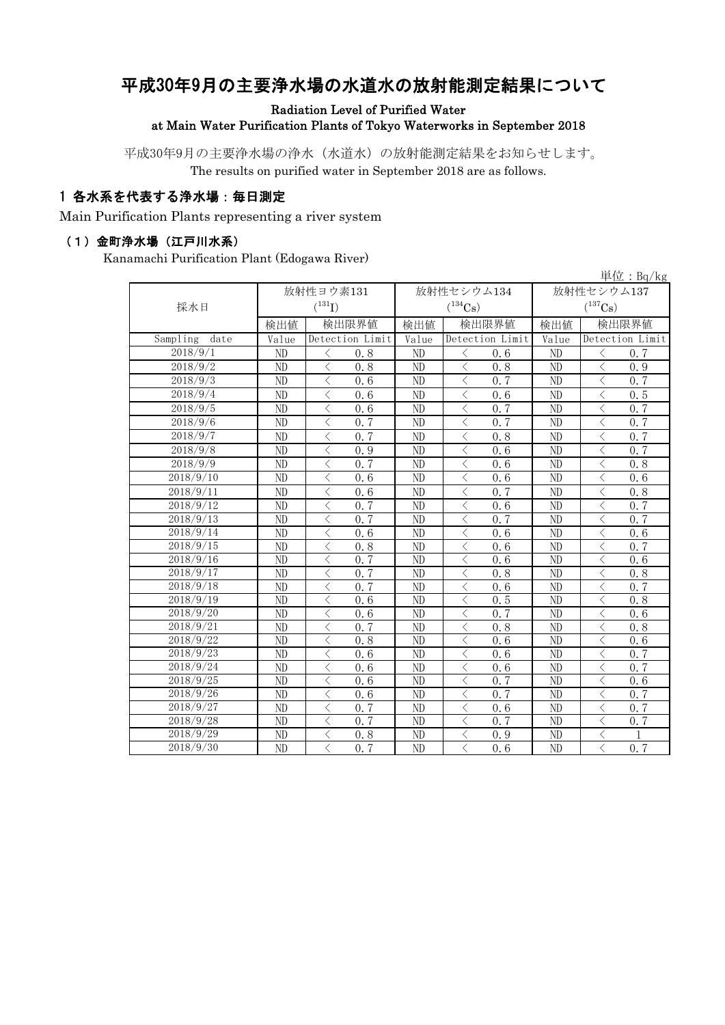# 平成30年9月の主要浄水場の水道水の放射能測定結果について

Radiation Level of Purified Water

at Main Water Purification Plants of Tokyo Waterworks in September 2018

平成30年9月の主要浄水場の浄水(水道水)の放射能測定結果をお知らせします。 The results on purified water in September 2018 are as follows.

#### 1 各水系を代表する浄水場:毎日測定

Main Purification Plants representing a river system

#### (1)金町浄水場(江戸川水系)

Kanamachi Purification Plant (Edogawa River)

| 単位: $Bq/kg$         |                 |                                                 |                 |                                                  |                       |                                                 |  |  |
|---------------------|-----------------|-------------------------------------------------|-----------------|--------------------------------------------------|-----------------------|-------------------------------------------------|--|--|
|                     |                 | 放射性ヨウ素131                                       |                 | 放射性セシウム134                                       | 放射性セシウム137            |                                                 |  |  |
| 採水日                 |                 | $(^{131}I)$                                     |                 | $(^{134}\mathrm{Cs})$                            | $(^{137}\mathrm{Cs})$ |                                                 |  |  |
|                     | 検出値             | 検出限界値                                           | 検出値             | 検出限界値                                            | 検出値                   | 検出限界値                                           |  |  |
| Sampling<br>date    | Value           | Detection Limit                                 | Value           | Detection Limit                                  | Value                 | Detection Limit                                 |  |  |
| 2018/9/1            | ND              | 0.8<br>$\lt$                                    | ND              | $\langle$<br>0.6                                 | ND                    | $\lt$<br>0.7                                    |  |  |
| 2018/9/2            | ND              | $\langle$<br>0.8                                | ND              | $\langle$<br>0, 8                                | ND                    | $\langle$<br>0.9                                |  |  |
| 2018/9/3            | ND              | $\overline{\left\langle \right\rangle }$<br>0.6 | $\overline{ND}$ | $\overline{\langle}$<br>0.7                      | ND                    | $\langle$<br>0.7                                |  |  |
| 2018/9/4            | ND              | $\lt$<br>0.6                                    | ND              | $\lt$<br>0.6                                     | ND                    | $\lt$<br>0.5                                    |  |  |
| 2018/9/5            | ND              | $\langle$<br>0.6                                | ND              | $\langle$<br>0.7                                 | N <sub>D</sub>        | $\langle$<br>0.7                                |  |  |
| 2018/9/6            | ND              | $\lt$<br>0.7                                    | ND              | $\lt$<br>0.7                                     | ND                    | $\lt$<br>0.7                                    |  |  |
| $\frac{2018}{9}$ /7 | ND              | $\lt$<br>0.7                                    | ND              | $\langle$<br>0.8                                 | ND                    | $\lt$<br>0.7                                    |  |  |
| 2018/9/8            | ND              | $\overline{\left\langle \right\rangle }$<br>0.9 | ND              | $\overline{\langle}$<br>0.6                      | ND                    | $\overline{\left\langle \right\rangle }$<br>0.7 |  |  |
| 2018/9/9            | ND              | $\lt$<br>0.7                                    | ND              | $\langle$<br>0.6                                 | ND                    | $\lt$<br>0.8                                    |  |  |
| 2018/9/10           | ND              | $\langle$<br>0.6                                | ND              | $\langle$<br>0.6                                 | ND                    | $\lt$<br>0.6                                    |  |  |
| 2018/9/11           | ND              | $\langle$<br>0.6                                | ND              | $\lt$<br>0.7                                     | ND                    | $\lt$<br>0.8                                    |  |  |
| 2018/9/12           | ND              | 0, 7<br>$\hspace{0.5cm}\mathopen{<}$            | ND              | $\langle$<br>0.6                                 | ND                    | 0.7<br>$\hspace{0.5cm}\mathopen{<}$             |  |  |
| 2018/9/13           | $\overline{ND}$ | $\lt$<br>0.7                                    | $\overline{ND}$ | $\langle$<br>0.7                                 | $\overline{ND}$       | $\lt$<br>0.7                                    |  |  |
| 2018/9/14           | ND              | $\lt$<br>0.6                                    | ND              | $\lt$<br>0.6                                     | ND                    | $\lt$<br>0.6                                    |  |  |
| 2018/9/15           | ND              | 0.8<br>$\lt$                                    | ND              | $\lt$<br>0.6                                     | N <sub>D</sub>        | 0, 7<br>$\lt$                                   |  |  |
| 2018/9/16           | ND              | $\langle$<br>0.7                                | ND              | $\lt$<br>0, 6                                    | N <sub>D</sub>        | $\overline{\left\langle \right\rangle }$<br>0.6 |  |  |
| 2018/9/17           | ND              | 0, 7<br>$\langle$                               | N <sub>D</sub>  | $\overline{\left\langle \right\rangle }$<br>0, 8 | N <sub>D</sub>        | $\overline{\left\langle \right\rangle }$<br>0.8 |  |  |
| 2018/9/18           | ND              | $\langle$<br>0.7                                | N <sub>D</sub>  | $\langle$<br>0.6                                 | N <sub>D</sub>        | $\langle$<br>0.7                                |  |  |
| 2018/9/19           | ND              | $\overline{\left\langle \right\rangle }$<br>0.6 | ND              | $\overline{\left\langle \right\rangle }$<br>0.5  | ND                    | $\langle$<br>0.8                                |  |  |
| 2018/9/20           | ND              | $\langle$<br>0.6                                | ND              | $\langle$<br>0.7                                 | ND                    | $\langle$<br>0.6                                |  |  |
| 2018/9/21           | ND              | $\lt$<br>0.7                                    | ND              | $\lt$<br>0.8                                     | ND                    | $\lt$<br>0.8                                    |  |  |
| 2018/9/22           | ND              | $\langle$<br>0.8                                | ND              | $\lt$<br>0.6                                     | ND                    | $\lt$<br>0, 6                                   |  |  |
| 2018/9/23           | ND              | 0.6<br>$\lt$                                    | ND              | $\lt$<br>0.6                                     | ND                    | $\lt$<br>0.7                                    |  |  |
| 2018/9/24           | ND              | 0.6<br>ぐ                                        | ND              | $\lt$<br>0.6                                     | ND                    | $\lt$<br>0.7                                    |  |  |
| 2018/9/25           | ND              | $\hspace{0.5cm}\mathopen{<}$<br>0.6             | ND              | $\hspace{0.5cm}\mathopen{<}$<br>0.7              | ND                    | $\hspace{0.5cm}\mathopen{<}$<br>0.6             |  |  |
| 2018/9/26           | ND              | $\langle$<br>0, 6                               | ND              | $\lt$<br>0, 7                                    | N <sub>D</sub>        | $\langle$<br>0.7                                |  |  |
| 2018/9/27           | ND              | $\lt$<br>0.7                                    | ND              | $\langle$<br>0.6                                 | ND                    | $\lt$<br>0.7                                    |  |  |
| 2018/9/28           | ND              | 0.7<br>$\langle$                                | ND              | $\langle$<br>0, 7                                | ND                    | $\lt$<br>0, 7                                   |  |  |
| 2018/9/29           | ND              | $\lt$<br>0.8                                    | ND              | $\langle$<br>0.9                                 | ND                    | $\lt$<br>1                                      |  |  |
| 2018/9/30           | ND              | 0.7<br>$\langle$                                | ND              | 0.6<br>$\lt$                                     | ND                    | 0.7<br>$\langle$                                |  |  |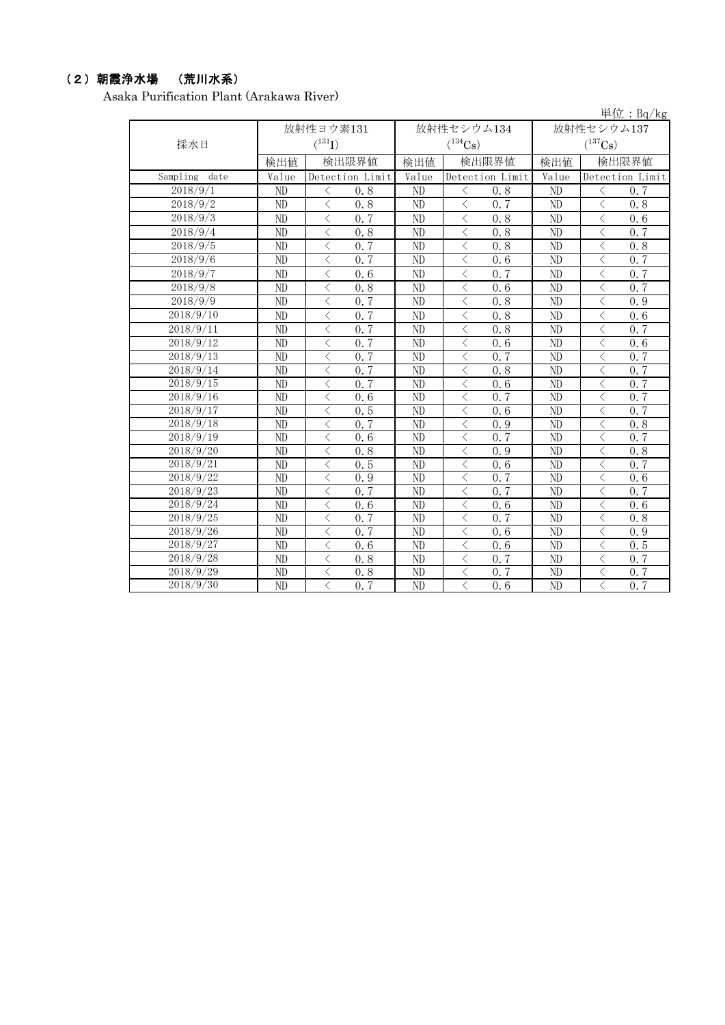### (2)朝霞浄水場 (荒川水系)

Asaka Purification Plant (Arakawa River)

|                  |       |                             |       |                              |                | 単位: Bq/kg                           |
|------------------|-------|-----------------------------|-------|------------------------------|----------------|-------------------------------------|
|                  |       | 放射性ヨウ素131                   |       | 放射性セシウム134                   |                | 放射性セシウム137                          |
| 採水日              |       | $({}^{131}\text{I})$        |       | $(^{134}Cs)$                 |                | $(^{137}\mathrm{Cs})$               |
|                  | 検出値   | 検出限界値                       | 検出値   | 検出限界値                        | 検出値            | 検出限界値                               |
| Sampling<br>date | Value | Detection Limit             | Value | Detection Limit              | Value          | Detection Limit                     |
| 2018/9/1         | ND    | ぐ<br>0.8                    | ND    | $\langle$<br>0.8             | ND             | 0.7<br>$\lt$                        |
| 2018/9/2         | ND    | $\langle$<br>0.8            | ND    | $\langle$<br>0.7             | ND             | $\langle$<br>0.8                    |
| 2018/9/3         | ND    | 0, 7<br>$\lt$               | ND    | $\langle$<br>0.8             | ND             | $\langle$<br>0.6                    |
| 2018/9/4         | ND    | $\langle$<br>0.8            | ND    | $\,$ $\,$ $\,$<br>0.8        | ND             | $\,$ $\,$ $\,$<br>0.7               |
| 2018/9/5         | ND    | $\langle$<br>0.7            | ND    | $\langle$<br>0, 8            | ND             | $\langle$<br>0.8                    |
| 2018/9/6         | ND    | $\langle$<br>0.7            | ND    | $\overline{\langle}$<br>0, 6 | ND             | $\overline{\langle}$<br>0.7         |
| 2018/9/7         | ND    | $\lt$<br>0.6                | ND    | $\langle$<br>0, 7            | ND             | $\langle$<br>0.7                    |
| 2018/9/8         | ND    | $\langle$<br>0.8            | ND    | $\lt$<br>0, 6                | ND             | $\lt$<br>0.7                        |
| 2018/9/9         | ND    | $\lt$<br>0.7                | ND    | $\langle$<br>0.8             | ND             | $\langle$<br>0.9                    |
| 2018/9/10        | ND    | $\langle$<br>0, 7           | ND    | $\langle$<br>0.8             | ND             | $\langle$<br>0.6                    |
| 2018/9/11        | ND    | 0, 7<br>$\langle$           | ND    | $\langle$<br>0.8             | ND             | 0.7<br>$\langle$                    |
| 2018/9/12        | ND    | $\overline{\langle}$<br>0.7 | ND    | 0.6<br>$\lt$                 | ND             | $\lt$<br>0.6                        |
| 2018/9/13        | ND    | $\langle$<br>0, 7           | ND    | 0, 7<br>$\langle$            | ND             | $\langle$<br>0.7                    |
| 2018/9/14        | ND    | $\langle$<br>0.7            | ND    | $\langle$<br>0.8             | ND             | $\langle$<br>0.7                    |
| 2018/9/15        | ND    | $\lt$<br>0, 7               | ND    | $\langle$<br>0.6             | ND             | $\lt$<br>0.7                        |
| 2018/9/16        | ND    | $\lt$<br>0.6                | ND    | $\langle$<br>0.7             | ND             | $\langle$<br>0.7                    |
| 2018/9/17        | ND    | 0.5<br>$\lt$                | ND    | $\langle$<br>0.6             | ND             | $\langle$<br>$0, \overline{7}$      |
| 2018/9/18        | ND    | $\lt$<br>0.7                | ND    | $\langle$<br>0.9             | ND             | 0.8<br>$\lt$                        |
| 2018/9/19        | ND    | $\lt$<br>0.6                | ND    | $\lt$<br>0, 7                | ND             | $\langle$<br>0, 7                   |
| 2018/9/20        | ND    | $\langle$<br>0.8            | ND    | $\lt$<br>0.9                 | ND             | $\lt$<br>0.8                        |
| 2018/9/21        | ND    | $\lt$<br>0.5                | ND    | $\langle$<br>0.6             | ND             | 0.7<br>$\langle$                    |
| 2018/9/22        | ND    | $\lt$<br>0.9                | ND    | $\langle$<br>0.7             | ND             | $\langle$<br>0.6                    |
| 2018/9/23        | ND    | $\lt$<br>0, 7               | ND    | $\langle$<br>0, 7            | ND             | $\langle$<br>0, 7                   |
| 2018/9/24        | ND    | $\lt$<br>0.6                | ND    | $\lt$<br>0.6                 | ND             | $\lt$<br>0.6                        |
| 2018/9/25        | ND    | $\lt$<br>0, 7               | ND    | $\lt$<br>0, 7                | ND             | $\lt$<br>0.8                        |
| 2018/9/26        | ND    | $\lt$<br>0.7                | ND    | $\langle$<br>0.6             | N <sub>D</sub> | $\langle$<br>0.9                    |
| 2018/9/27        | ND    | $\lt$<br>0.6                | ND    | $\langle$<br>0.6             | ND             | $\overline{\langle}$<br>0.5         |
| 2018/9/28        | ND    | $\langle$<br>0.8            | ND    | $\lt$<br>0, 7                | ND             | $\langle$<br>0, 7                   |
| 2018/9/29        | ND    | $\overline{\langle}$<br>0.8 | ND    | $\langle$<br>0.7             | ND             | 0.7<br>$\hspace{0.5cm}\mathopen{<}$ |
| 2018/9/30        | ND    | $\langle$<br>0.7            | ND    | 0, 6<br>$\langle$            | ND             | $\langle$<br>0, 7                   |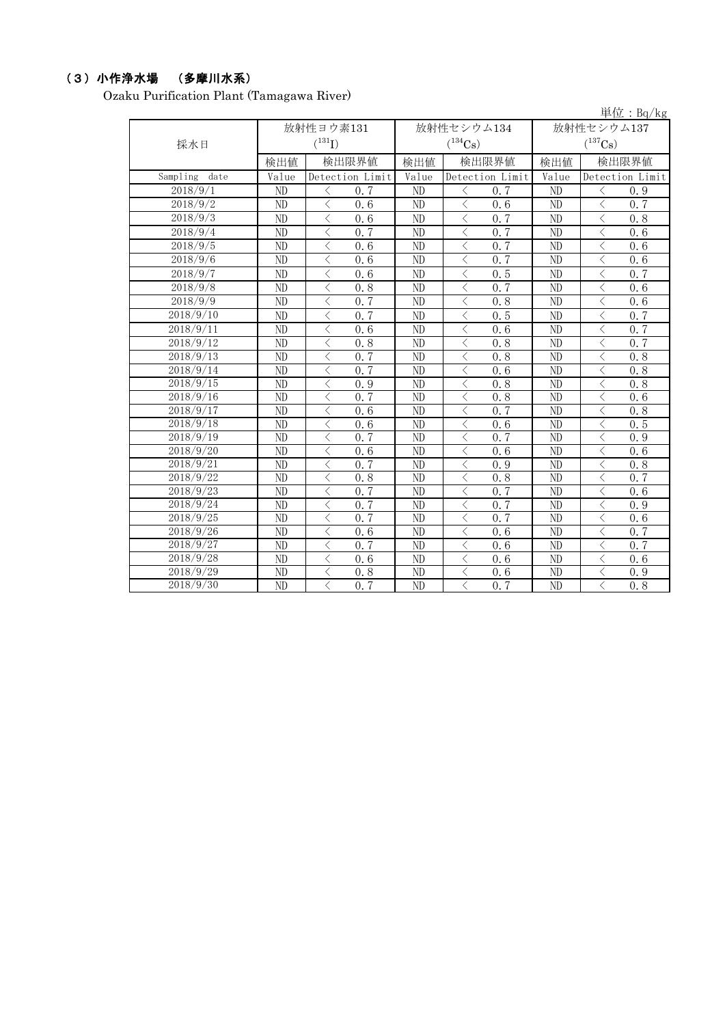### (3)小作浄水場 (多摩川水系)

Ozaku Purification Plant (Tamagawa River)

|                  |                 |                                                 |                 |                                |                 | 単位: Bq/kg                   |  |  |
|------------------|-----------------|-------------------------------------------------|-----------------|--------------------------------|-----------------|-----------------------------|--|--|
|                  |                 | 放射性ヨウ素131                                       |                 | 放射性セシウム134                     | 放射性セシウム137      |                             |  |  |
| 採水日              |                 | $(^{131}I)$                                     |                 | $(^{134}Cs)$                   |                 | $(^{137}\mathrm{Cs})$       |  |  |
|                  | 検出値             | 検出限界値                                           | 検出値             | 検出限界値                          | 検出値             | 検出限界値                       |  |  |
| Sampling<br>date | Value           | Detection Limit                                 | Value           | Detection Limit                | Value           | Detection Limit             |  |  |
| 2018/9/1         | N <sub>D</sub>  | $\langle$<br>0.7                                | ND              | $\langle$<br>0.7               | ND              | $\langle$<br>0.9            |  |  |
| 2018/9/2         | ND              | $\langle$<br>0, 6                               | ND              | $\langle$<br>0.6               | ND              | $\langle$<br>0.7            |  |  |
| 2018/9/3         | $\overline{ND}$ | $\langle$<br>0.6                                | ND              | $\langle$<br>0.7               | $\overline{ND}$ | $\langle$<br>0.8            |  |  |
| 2018/9/4         | ND              | $\langle$<br>0.7                                | ND              | $\langle$<br>0.7               | ND              | $\langle$<br>0.6            |  |  |
| 2018/9/5         | $\overline{ND}$ | $\overline{\langle}$<br>$\overline{0.6}$        | ND              | $\langle$<br>0.7               | ND              | $\langle$<br>0.6            |  |  |
| 2018/9/6         | ND              | $\langle$<br>0.6                                | ND              | $\langle$<br>0.7               | ND              | $\langle$<br>0, 6           |  |  |
| 2018/9/7         | ND              | $\langle$<br>0.6                                | ND              | $\langle$<br>0.5               | ND              | $\langle$<br>0.7            |  |  |
| 2018/9/8         | ND              | $\overline{\left\langle \right\rangle }$<br>0.8 | ND              | $\lt$<br>0.7                   | ND              | $\lt$<br>0.6                |  |  |
| 2018/9/9         | ND              | $\lt$<br>0.7                                    | ND              | $\lt$<br>0.8                   | ND              | $\langle$<br>0.6            |  |  |
| 2018/9/10        | ND              | $\langle$<br>0.7                                | ND              | $\langle$<br>0, 5              | ND              | $\langle$<br>0, 7           |  |  |
| 2018/9/11        | ND              | $\langle$<br>0.6                                | ND              | $\lt$<br>0.6                   | ND              | $\langle$<br>0.7            |  |  |
| 2018/9/12        | $\overline{ND}$ | $\langle$<br>0.8                                | $\overline{ND}$ | $\langle$<br>0.8               | $\overline{ND}$ | $\langle$<br>0.7            |  |  |
| 2018/9/13        | $\overline{ND}$ | $\overline{\langle}$<br>0, 7                    | ND              | $\langle$<br>0.8               | ND              | $\langle$<br>0.8            |  |  |
| 2018/9/14        | ND              | $\lt$<br>0, 7                                   | ND              | $\lt$<br>0.6                   | ND              | $\lt$<br>0.8                |  |  |
| 2018/9/15        | ND              | $\langle$<br>0.9                                | ND              | $\langle$<br>0.8               | ND              | $\langle$<br>0.8            |  |  |
| 2018/9/16        | $\overline{ND}$ | $\langle$<br>0, 7                               | $\overline{ND}$ | $\langle$<br>0.8               | ND              | $\langle$<br>0.6            |  |  |
| 2018/9/17        | ND              | $\lt$<br>0.6                                    | ND              | $\langle$<br>0.7               | ND              | $\lt$<br>0.8                |  |  |
| 2018/9/18        | ND              | $\lt$<br>0.6                                    | ND              | $\lt$<br>0.6                   | ND              | $\langle$<br>0.5            |  |  |
| 2018/9/19        | ND              | $\lt$<br>0.7                                    | ND              | $\lt$<br>0, 7                  | ND              | $\lt$<br>0.9                |  |  |
| 2018/9/20        | ND              | $\lt$<br>0.6                                    | ND              | $\lt$<br>0.6                   | ND              | $\langle$<br>0.6            |  |  |
| 2018/9/21        | ND              | $\lt$<br>0.7                                    | ND              | 0.9<br>$\langle$               | ND              | $\lt$<br>0.8                |  |  |
| 2018/9/22        | ND              | $\lt$<br>0.8                                    | ND              | 0.8<br>$\lt$                   | ND              | 0.7<br>$\lt$                |  |  |
| 2018/9/23        | $\overline{ND}$ | $\langle$<br>0.7                                | ND              | $\langle$<br>$0.\overline{7}$  | ND              | $\langle$<br>0.6            |  |  |
| 2018/9/24        | ND              | $\langle$<br>0.7                                | ND              | $\langle$<br>0.7               | ND              | $\langle$<br>0.9            |  |  |
| 2018/9/25        | ND              | $\lt$<br>0.7                                    | ND              | $\langle$<br>0.7               | ND              | $\langle$<br>0.6            |  |  |
| 2018/9/26        | ND              | $\langle$<br>0.6                                | ND              | $\langle$<br>0.6               | ND              | $\langle$<br>0.7            |  |  |
| 2018/9/27        | ND              | $\langle$<br>0.7                                | ND              | $\langle$<br>0.6               | ND              | $\langle$<br>0.7            |  |  |
| 2018/9/28        | ND              | $\lt$<br>0, 6                                   | ND              | $\langle$<br>0.6               | ND              | $\langle$<br>0.6            |  |  |
| 2018/9/29        | ND              | $\overline{\langle}$<br>0.8                     | ND              | $\langle$<br>0.6               | ND              | $\overline{\langle}$<br>0.9 |  |  |
| 2018/9/30        | ND              | $\langle$<br>0, 7                               | ND              | $\langle$<br>$0, \overline{7}$ | ND              | $\langle$<br>0, 8           |  |  |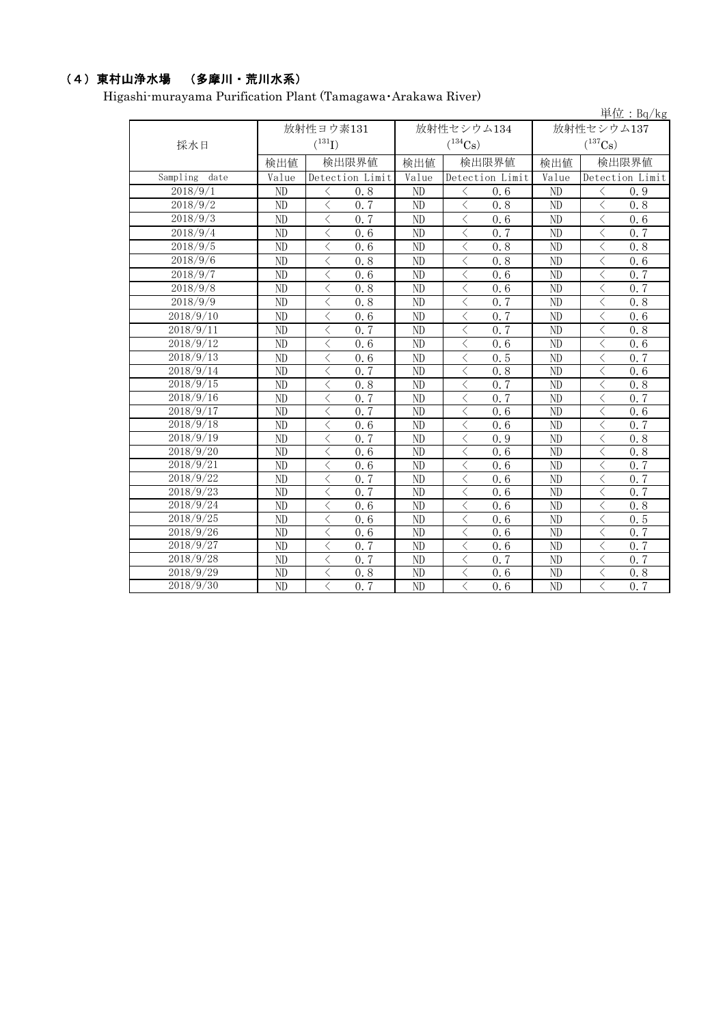## (4)東村山浄水場 (多摩川・荒川水系)

Higashi-murayama Purification Plant (Tamagawa・Arakawa River)

|                  |                 |                                                 |                 |                                 |                       | 単位:Bq/kg                                        |  |
|------------------|-----------------|-------------------------------------------------|-----------------|---------------------------------|-----------------------|-------------------------------------------------|--|
|                  |                 | 放射性ヨウ素131                                       |                 | 放射性セシウム134                      | 放射性セシウム137            |                                                 |  |
| 採水日              |                 | $(^{131}I)$                                     |                 | $(^{134}\mathrm{Cs})$           | $(^{137}\mathrm{Cs})$ |                                                 |  |
|                  | 検出値             | 検出限界値                                           | 検出値             | 検出限界値                           | 検出値                   | 検出限界値                                           |  |
| Sampling<br>date | Value           | Detection Limit                                 | Value           | Detection Limit                 | Value                 | Detection Limit                                 |  |
| 2018/9/1         | ND              | $\langle$<br>0.8                                | ND              | $\langle$<br>0.6                | ND                    | $\langle$<br>0.9                                |  |
| 2018/9/2         | $\overline{ND}$ | $\langle$<br>0, 7                               | $\overline{ND}$ | $\langle$<br>0.8                | $\overline{ND}$       | $\langle$<br>0.8                                |  |
| 2018/9/3         | ND              | $\langle$<br>0.7                                | ND              | $\langle$<br>0.6                | ND                    | $\overline{\langle}$<br>0.6                     |  |
| 2018/9/4         | $\overline{ND}$ | $\langle$<br>0.6                                | $\overline{ND}$ | $\overline{\langle}$<br>0.7     | $\overline{ND}$       | $\overline{\langle}$<br>0.7                     |  |
| 2018/9/5         | ND              | $\langle$<br>0.6                                | ND              | $\lt$<br>0.8                    | ND                    | $\lt$<br>0.8                                    |  |
| 2018/9/6         | ND              | $\lt$<br>0.8                                    | ND              | $\lt$<br>0.8                    | ND                    | $\lt$<br>0.6                                    |  |
| 2018/9/7         | ND              | $\lt$<br>0.6                                    | ND              | $\langle$<br>0.6                | ND                    | $\langle$<br>0.7                                |  |
| 2018/9/8         | ND              | $\langle$<br>0.8                                | ND              | $\lt$<br>0.6                    | ND                    | $\lt$<br>0.7                                    |  |
| 2018/9/9         | ND              | $\langle$<br>0.8                                | ND              | $\lt$<br>0.7                    | ND                    | $\langle$<br>0.8                                |  |
| 2018/9/10        | ND              | $\langle$<br>0.6                                | ND              | $\lt$<br>0.7                    | ND                    | $\langle$<br>0.6                                |  |
| 2018/9/11        | ND              | $\lt$<br>0.7                                    | ND              | $\lt$<br>0.7                    | ND                    | $\langle$<br>0.8                                |  |
| 2018/9/12        | ND              | $\lt$<br>0.6                                    | ND              | $\lt$<br>0.6                    | ND                    | $\langle$<br>0.6                                |  |
| 2018/9/13        | ND              | $\lt$<br>0.6                                    | ND              | $\langle$<br>0.5                | ND                    | $\langle$<br>0.7                                |  |
| 2018/9/14        | ND              | $\lt$<br>0, 7                                   | ND              | $\lt$<br>0.8                    | ND                    | $\langle$<br>0.6                                |  |
| 2018/9/15        | ND              | $\langle$<br>0.8                                | ND              | $\langle$<br>0.7                | ND                    | $\langle$<br>0.8                                |  |
| 2018/9/16        | ND              | 0.7<br>$\langle$                                | ND              | 0.7<br>$\langle$                | ND                    | 0, 7<br>$\langle$                               |  |
| 2018/9/17        | ND              | $\lt$<br>0, 7                                   | ND              | $\lt$<br>0.6                    | ND                    | $\lt$<br>0.6                                    |  |
| 2018/9/18        | $\overline{ND}$ | $\overline{\left\langle \right\rangle }$<br>0.6 | $\overline{ND}$ | $\langle$<br>0.6                | $\overline{ND}$       | $\langle$<br>0.7                                |  |
| 2018/9/19        | $\overline{ND}$ | $\langle$<br>0.7                                | $\overline{ND}$ | $\lt$<br>0.9                    | $\overline{ND}$       | $\overline{\left\langle \right\rangle }$<br>0.8 |  |
| 2018/9/20        | ND              | $\lt$<br>0.6                                    | ND              | $\lt$<br>0.6                    | ND                    | $\lt$<br>0.8                                    |  |
| 2018/9/21        | ND              | $\lt$<br>0.6                                    | ND              | $\langle$<br>0.6                | ND                    | $\langle$<br>0.7                                |  |
| 2018/9/22        | ND              | $\langle$<br>0.7                                | ND              | $\langle$<br>0.6                | ND                    | $\langle$<br>0.7                                |  |
| 2018/9/23        | ND              | $\langle$<br>0.7                                | ND              | $\lt$<br>0.6                    | ND                    | $\lt$<br>0.7                                    |  |
| 2018/9/24        | ND              | $\langle$<br>0.6                                | ND              | $\lt$<br>0.6                    | ND                    | $\lt$<br>0.8                                    |  |
| 2018/9/25        | ND              | $\lt$<br>0.6                                    | ND              | $\lt$<br>0, 6                   | ND                    | $\lt$<br>0.5                                    |  |
| 2018/9/26        | $\overline{ND}$ | $\lt$<br>0.6                                    | $\overline{ND}$ | $\lt$<br>0.6                    | $\overline{ND}$       | $\langle$<br>0.7                                |  |
| 2018/9/27        | ND              | $\lt$<br>0.7                                    | ND              | $\lt$<br>0.6                    | ND                    | $\langle$<br>0.7                                |  |
| 2018/9/28        | ND              | $\langle$<br>0.7                                | ND              | 0.7<br>$\langle$                | ND                    | $\langle$<br>0.7                                |  |
| 2018/9/29        | ND              | $\overline{\left\langle \right\rangle }$<br>0.8 | ND              | $\langle$<br>$\overline{0}$ . 6 | ND                    | $\langle$<br>0.8                                |  |
| 2018/9/30        | $\overline{ND}$ | $\overline{\langle}$<br>0, 7                    | $\overline{ND}$ | $\overline{\langle}$<br>0.6     | $\overline{ND}$       | $\overline{\langle}$<br>0, 7                    |  |

単位:Bq/kg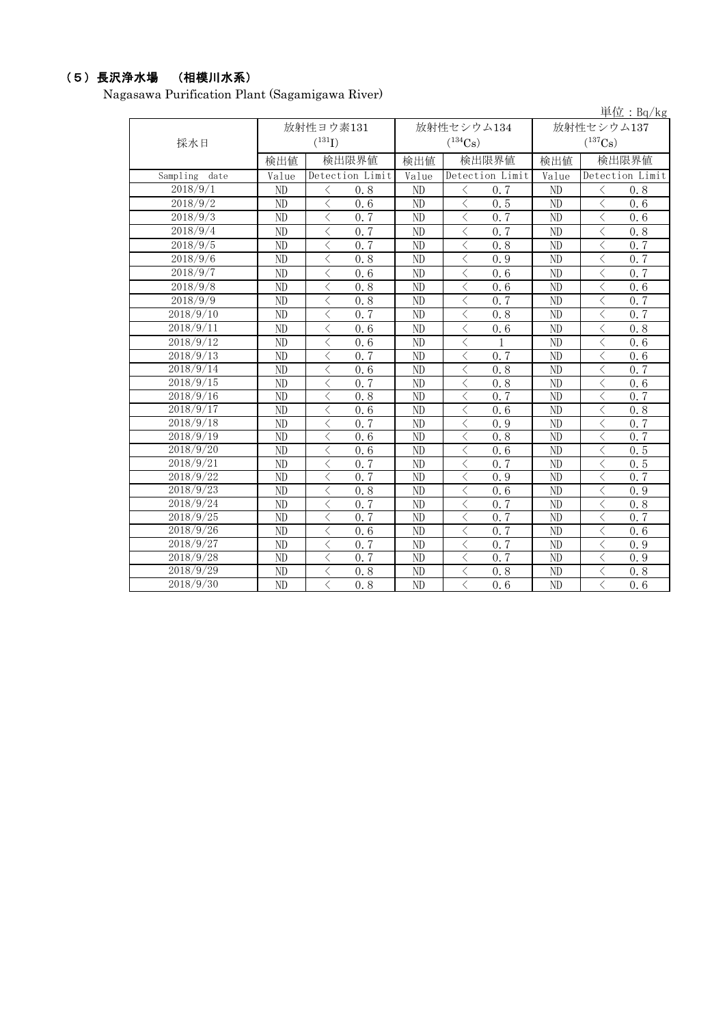### (5)長沢浄水場 (相模川水系)

Nagasawa Purification Plant (Sagamigawa River)

|                  |                 |                   |                 |                                |                 | 単位: $Bq/kg$                    |
|------------------|-----------------|-------------------|-----------------|--------------------------------|-----------------|--------------------------------|
|                  |                 | 放射性ヨウ素131         |                 | 放射性セシウム134                     |                 | 放射性セシウム137                     |
| 採水日              |                 | $(^{131}I)$       |                 | $(^{134}Cs)$                   |                 | $(^{137}Cs)$                   |
|                  | 検出値             | 検出限界値             | 検出値             | 検出限界値                          | 検出値             | 検出限界値                          |
| Sampling<br>date | Value           | Detection Limit   | Value           | Detection Limit                | Value           | Detection Limit                |
| 2018/9/1         | ND              | $\langle$<br>0.8  | ND              | $\langle$<br>0, 7              | N <sub>D</sub>  | $\langle$<br>0, 8              |
| 2018/9/2         | ND              | $\langle$<br>0.6  | ND              | $\langle$<br>0.5               | ND              | $\langle$<br>0, 6              |
| 2018/9/3         | ND              | $\langle$<br>0.7  | ND              | $\langle$<br>0.7               | ND              | $\lt$<br>0, 6                  |
| 2018/9/4         | ND              | $\langle$<br>0.7  | ND              | $\langle$<br>0.7               | ND              | $\lt$<br>0.8                   |
| 2018/9/5         | ND              | $\lt$<br>0.7      | ND              | $\langle$<br>0.8               | ND              | $\lt$<br>0.7                   |
| 2018/9/6         | ND              | $\langle$<br>0.8  | ND              | $\langle$<br>0.9               | ND              | $\langle$<br>0.7               |
| 2018/9/7         | ND              | $\langle$<br>0.6  | ND              | 0.6<br>$\langle$               | ND              | $\lt$<br>0.7                   |
| 2018/9/8         | ND              | $\langle$<br>0.8  | ND              | $\lt$<br>0.6                   | ND              | $\langle$<br>0.6               |
| 2018/9/9         | ND              | $\lt$<br>0.8      | ND              | $\langle$<br>0.7               | ND              | $\langle$<br>0.7               |
| 2018/9/10        | ND              | $\langle$<br>0, 7 | ND              | $\langle$<br>0.8               | ND              | $\langle$<br>0, 7              |
| 2018/9/11        | ND              | $\lt$<br>0, 6     | ND              | $\langle$<br>0.6               | ND              | $\langle$<br>0.8               |
| 2018/9/12        | $\overline{ND}$ | $\langle$<br>0, 6 | $\overline{ND}$ | $\langle$<br>$\mathbf{1}$      | $\overline{ND}$ | $\langle$<br>0, 6              |
| 2018/9/13        | ND              | $\langle$<br>0.7  | ND              | $\langle$<br>0.7               | ND              | $\langle$<br>0.6               |
| 2018/9/14        | ND              | $\lt$<br>0.6      | ND              | $\langle$<br>0.8               | ND              | $\langle$<br>0.7               |
| 2018/9/15        | ND              | $\lt$<br>0.7      | ND              | $\langle$<br>0.8               | ND              | $\langle$<br>0.6               |
| 2018/9/16        | ND              | $\lt$<br>0.8      | ND              | $\lt$<br>0.7                   | ND              | $\langle$<br>0.7               |
| 2018/9/17        | ND              | $\lt$<br>0.6      | ND              | $\langle$<br>0.6               | ND              | $\lt$<br>0.8                   |
| 2018/9/18        | ND              | $\lt$<br>0, 7     | ND              | $\lt$<br>0.9                   | ND              | $\lt$<br>0, 7                  |
| 2018/9/19        | ND              | $\langle$<br>0.6  | ND              | $\langle$<br>0.8               | ND              | $\langle$<br>0.7               |
| 2018/9/20        | ND              | 0.6<br>$\lt$      | ND              | $\langle$<br>0.6               | ND              | 0.5<br>$\lt$                   |
| 2018/9/21        | ND              | $\langle$<br>0.7  | ND              | 0, 7<br>$\lt$                  | ND              | $\langle$<br>0.5               |
| 2018/9/22        | ND              | $\langle$<br>0.7  | ND              | $\langle$<br>0.9               | ND              | $\langle$<br>$0, \overline{7}$ |
| 2018/9/23        | ND              | $\lt$<br>0.8      | ND              | $\lt$<br>0.6                   | ND              | $\langle$<br>0.9               |
| 2018/9/24        | ND              | $\lt$<br>0.7      | ND              | $\langle$<br>0.7               | ND              | $\langle$<br>0.8               |
| 2018/9/25        | ND              | $\lt$<br>0, 7     | ND              | $\langle$<br>0, 7              | N <sub>D</sub>  | $\langle$<br>0, 7              |
| 2018/9/26        | ND              | $\langle$<br>0.6  | ND              | $0, \overline{7}$<br>$\langle$ | N <sub>D</sub>  | $\langle$<br>0.6               |
| 2018/9/27        | ND              | $\lt$<br>0.7      | ND              | $\langle$<br>0.7               | ND              | $\langle$<br>0.9               |
| 2018/9/28        | ND              | $\langle$<br>0.7  | ND              | 0.7<br>$\langle$               | ND              | $\langle$<br>0.9               |
| 2018/9/29        | ND              | $\langle$<br>0.8  | ND              | $\lt$<br>0.8                   | ND              | $\langle$<br>0.8               |
| 2018/9/30        | ND              | $\langle$<br>0.8  | ND              | $\langle$<br>0, 6              | ND              | $\langle$<br>0.6               |